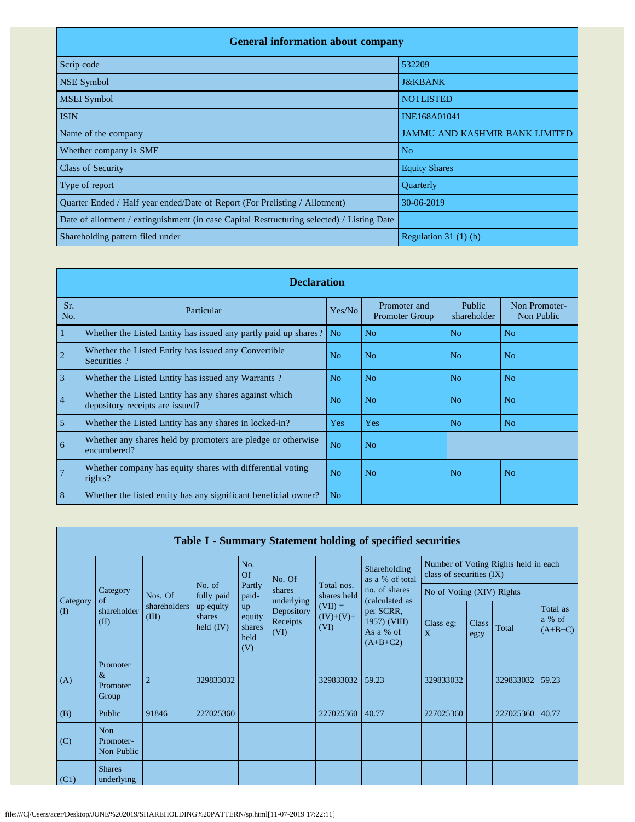| <b>General information about company</b>                                                   |                                       |  |  |  |  |  |  |  |
|--------------------------------------------------------------------------------------------|---------------------------------------|--|--|--|--|--|--|--|
| Scrip code                                                                                 | 532209                                |  |  |  |  |  |  |  |
| <b>NSE Symbol</b>                                                                          | <b>J&amp;KBANK</b>                    |  |  |  |  |  |  |  |
| <b>MSEI</b> Symbol                                                                         | <b>NOTLISTED</b>                      |  |  |  |  |  |  |  |
| <b>ISIN</b>                                                                                | INE168A01041                          |  |  |  |  |  |  |  |
| Name of the company                                                                        | <b>JAMMU AND KASHMIR BANK LIMITED</b> |  |  |  |  |  |  |  |
| Whether company is SME                                                                     | N <sub>o</sub>                        |  |  |  |  |  |  |  |
| <b>Class of Security</b>                                                                   | <b>Equity Shares</b>                  |  |  |  |  |  |  |  |
| Type of report                                                                             | Quarterly                             |  |  |  |  |  |  |  |
| Quarter Ended / Half year ended/Date of Report (For Prelisting / Allotment)                | 30-06-2019                            |  |  |  |  |  |  |  |
| Date of allotment / extinguishment (in case Capital Restructuring selected) / Listing Date |                                       |  |  |  |  |  |  |  |
| Shareholding pattern filed under                                                           | Regulation 31 $(1)$ $(b)$             |  |  |  |  |  |  |  |

|                 | <b>Declaration</b>                                                                        |                |                                       |                       |                             |  |  |  |  |  |  |  |
|-----------------|-------------------------------------------------------------------------------------------|----------------|---------------------------------------|-----------------------|-----------------------------|--|--|--|--|--|--|--|
| Sr.<br>No.      | Particular                                                                                | Yes/No         | Promoter and<br><b>Promoter Group</b> | Public<br>shareholder | Non Promoter-<br>Non Public |  |  |  |  |  |  |  |
| 1               | Whether the Listed Entity has issued any partly paid up shares?                           | N <sub>o</sub> | No                                    | N <sub>o</sub>        | N <sub>o</sub>              |  |  |  |  |  |  |  |
| $\overline{2}$  | Whether the Listed Entity has issued any Convertible<br>Securities?                       | No             | N <sub>o</sub>                        | N <sub>o</sub>        | No                          |  |  |  |  |  |  |  |
| $\overline{3}$  | Whether the Listed Entity has issued any Warrants?                                        | N <sub>o</sub> | N <sub>o</sub>                        | N <sub>o</sub>        | N <sub>o</sub>              |  |  |  |  |  |  |  |
| $\overline{4}$  | Whether the Listed Entity has any shares against which<br>depository receipts are issued? | No.            | N <sub>o</sub>                        | N <sub>0</sub>        | No.                         |  |  |  |  |  |  |  |
| 5               | Whether the Listed Entity has any shares in locked-in?                                    | Yes            | Yes                                   | N <sub>o</sub>        | N <sub>o</sub>              |  |  |  |  |  |  |  |
| 6               | Whether any shares held by promoters are pledge or otherwise<br>encumbered?               | N <sub>o</sub> | N <sub>o</sub>                        |                       |                             |  |  |  |  |  |  |  |
| $7\phantom{.0}$ | Whether company has equity shares with differential voting<br>rights?                     | N <sub>o</sub> | N <sub>o</sub>                        | No.                   | No.                         |  |  |  |  |  |  |  |
| 8               | Whether the listed entity has any significant beneficial owner?                           | N <sub>o</sub> |                                       |                       |                             |  |  |  |  |  |  |  |

|                      | Table I - Summary Statement holding of specified securities |                                  |                                    |                                       |                                              |                                                               |                                                                                         |                                                                  |               |           |                                 |  |  |
|----------------------|-------------------------------------------------------------|----------------------------------|------------------------------------|---------------------------------------|----------------------------------------------|---------------------------------------------------------------|-----------------------------------------------------------------------------------------|------------------------------------------------------------------|---------------|-----------|---------------------------------|--|--|
| Category<br>$\rm(D)$ | Category<br>of<br>shareholder<br>(II)                       | Nos. Of<br>shareholders<br>(III) |                                    | No.<br><b>Of</b>                      | No. Of                                       | Total nos.<br>shares held<br>$(VII) =$<br>$(IV)+(V)+$<br>(VI) | Shareholding<br>as a % of total                                                         | Number of Voting Rights held in each<br>class of securities (IX) |               |           |                                 |  |  |
|                      |                                                             |                                  | No. of<br>fully paid               | Partly<br>paid-                       | shares                                       |                                                               | no. of shares<br>(calculated as<br>per SCRR,<br>1957) (VIII)<br>As a % of<br>$(A+B+C2)$ | No of Voting (XIV) Rights                                        |               |           |                                 |  |  |
|                      |                                                             |                                  | up equity<br>shares<br>held $(IV)$ | up<br>equity<br>shares<br>held<br>(V) | underlying<br>Depository<br>Receipts<br>(VI) |                                                               |                                                                                         | Class eg:<br>$\mathbf{X}$                                        | Class<br>eg:y | Total     | Total as<br>a % of<br>$(A+B+C)$ |  |  |
| (A)                  | Promoter<br>&<br>Promoter<br>Group                          | $\overline{2}$                   | 329833032                          |                                       |                                              | 329833032                                                     | 59.23                                                                                   | 329833032                                                        |               | 329833032 | 59.23                           |  |  |
| (B)                  | Public                                                      | 91846                            | 227025360                          |                                       |                                              | 227025360   40.77                                             |                                                                                         | 227025360                                                        |               | 227025360 | 40.77                           |  |  |
| (C)                  | <b>Non</b><br>Promoter-<br>Non Public                       |                                  |                                    |                                       |                                              |                                                               |                                                                                         |                                                                  |               |           |                                 |  |  |
| (C1)                 | <b>Shares</b><br>underlying                                 |                                  |                                    |                                       |                                              |                                                               |                                                                                         |                                                                  |               |           |                                 |  |  |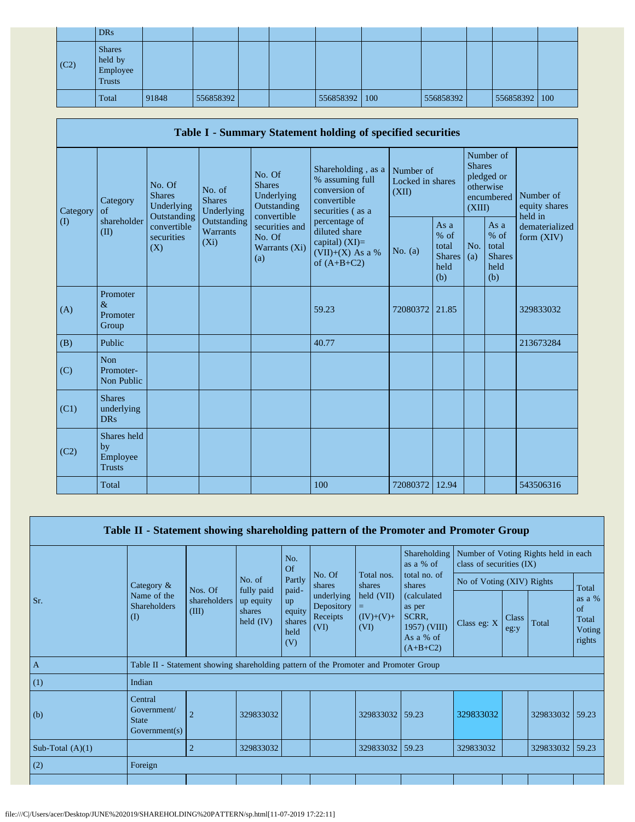|      | <b>DRs</b>                                            |       |           |  |                 |           |               |  |
|------|-------------------------------------------------------|-------|-----------|--|-----------------|-----------|---------------|--|
| (C2) | <b>Shares</b><br>held by<br>Employee<br><b>Trusts</b> |       |           |  |                 |           |               |  |
|      | Total                                                 | 91848 | 556858392 |  | 556858392   100 | 556858392 | 556858392 100 |  |

|                      | Table I - Summary Statement holding of specified securities |                                       |                                           |                                                                                                                         |                                                                                           |                                        |                                                           |                                                                               |                                                         |                                       |  |  |  |  |
|----------------------|-------------------------------------------------------------|---------------------------------------|-------------------------------------------|-------------------------------------------------------------------------------------------------------------------------|-------------------------------------------------------------------------------------------|----------------------------------------|-----------------------------------------------------------|-------------------------------------------------------------------------------|---------------------------------------------------------|---------------------------------------|--|--|--|--|
| Category<br>$\rm(D)$ | Category<br>of<br>Outstanding<br>shareholder<br>(II)<br>(X) | No. Of<br><b>Shares</b><br>Underlying | No. of<br><b>Shares</b><br>Underlying     | No. Of<br><b>Shares</b><br>Underlying<br>Outstanding<br>convertible<br>securities and<br>No. Of<br>Warrants (Xi)<br>(a) | Shareholding, as a<br>% assuming full<br>conversion of<br>convertible<br>securities (as a | Number of<br>Locked in shares<br>(XII) |                                                           | Number of<br><b>Shares</b><br>pledged or<br>otherwise<br>encumbered<br>(XIII) |                                                         | Number of<br>equity shares<br>held in |  |  |  |  |
|                      |                                                             | convertible<br>securities             | Outstanding<br><b>Warrants</b><br>$(X_i)$ |                                                                                                                         | percentage of<br>diluted share<br>capital) $(XI)=$<br>$(VII)+(X)$ As a %<br>of $(A+B+C2)$ | No. $(a)$                              | As $a$<br>$%$ of<br>total<br><b>Shares</b><br>held<br>(b) | No.<br>(a)                                                                    | As a<br>$%$ of<br>total<br><b>Shares</b><br>held<br>(b) | dematerialized<br>form $(XIV)$        |  |  |  |  |
| (A)                  | Promoter<br>$\&$<br>Promoter<br>Group                       |                                       |                                           |                                                                                                                         | 59.23                                                                                     | 72080372                               | 21.85                                                     |                                                                               |                                                         | 329833032                             |  |  |  |  |
| (B)                  | Public                                                      |                                       |                                           |                                                                                                                         | 40.77                                                                                     |                                        |                                                           |                                                                               |                                                         | 213673284                             |  |  |  |  |
| (C)                  | Non<br>Promoter-<br><b>Non Public</b>                       |                                       |                                           |                                                                                                                         |                                                                                           |                                        |                                                           |                                                                               |                                                         |                                       |  |  |  |  |
| (C1)                 | <b>Shares</b><br>underlying<br><b>DRs</b>                   |                                       |                                           |                                                                                                                         |                                                                                           |                                        |                                                           |                                                                               |                                                         |                                       |  |  |  |  |
| (C2)                 | Shares held<br>by<br>Employee<br><b>Trusts</b>              |                                       |                                           |                                                                                                                         |                                                                                           |                                        |                                                           |                                                                               |                                                         |                                       |  |  |  |  |
|                      | Total                                                       |                                       |                                           |                                                                                                                         | 100                                                                                       | 72080372                               | 12.94                                                     |                                                                               |                                                         | 543506316                             |  |  |  |  |

| Table II - Statement showing shareholding pattern of the Promoter and Promoter Group |                                                                                      |                                  |                                    |                                       |                                              |                                                                           |                                                                                                                                     |                                                                  |               |                 |                                             |  |
|--------------------------------------------------------------------------------------|--------------------------------------------------------------------------------------|----------------------------------|------------------------------------|---------------------------------------|----------------------------------------------|---------------------------------------------------------------------------|-------------------------------------------------------------------------------------------------------------------------------------|------------------------------------------------------------------|---------------|-----------------|---------------------------------------------|--|
|                                                                                      |                                                                                      |                                  |                                    | No.<br>Of                             |                                              | Total nos.<br>shares<br>$\text{held (VII)}$<br>$=$<br>$(IV)+(V)+$<br>(VI) | Shareholding<br>as a $%$ of<br>total no. of<br>shares<br>(calculated)<br>as per<br>SCRR,<br>1957) (VIII)<br>As a % of<br>$(A+B+C2)$ | Number of Voting Rights held in each<br>class of securities (IX) |               |                 |                                             |  |
|                                                                                      | Category $\&$                                                                        | Nos. Of<br>shareholders<br>(III) | No. of<br>fully paid               | Partly<br>paid-                       | No. Of<br>shares                             |                                                                           |                                                                                                                                     | No of Voting (XIV) Rights                                        |               |                 | Total                                       |  |
| Sr.                                                                                  | Name of the<br><b>Shareholders</b><br>$\rm(D)$                                       |                                  | up equity<br>shares<br>held $(IV)$ | up<br>equity<br>shares<br>held<br>(V) | underlying<br>Depository<br>Receipts<br>(VI) |                                                                           |                                                                                                                                     | Class eg: X                                                      | Class<br>eg:y | Total           | as a $%$<br>of<br>Total<br>Voting<br>rights |  |
| $\mathbf{A}$                                                                         | Table II - Statement showing shareholding pattern of the Promoter and Promoter Group |                                  |                                    |                                       |                                              |                                                                           |                                                                                                                                     |                                                                  |               |                 |                                             |  |
| (1)                                                                                  | Indian                                                                               |                                  |                                    |                                       |                                              |                                                                           |                                                                                                                                     |                                                                  |               |                 |                                             |  |
| (b)                                                                                  | Central<br>Government/<br><b>State</b><br>Government(s)                              | $\overline{2}$                   | 329833032                          |                                       |                                              | 329833032                                                                 | 59.23                                                                                                                               | 329833032                                                        |               | 329833032       | 159.23                                      |  |
| Sub-Total $(A)(1)$                                                                   |                                                                                      | $\overline{2}$                   | 329833032                          |                                       |                                              | 329833032                                                                 | 59.23                                                                                                                               | 329833032                                                        |               | 329833032 59.23 |                                             |  |
| (2)                                                                                  | Foreign                                                                              |                                  |                                    |                                       |                                              |                                                                           |                                                                                                                                     |                                                                  |               |                 |                                             |  |
|                                                                                      |                                                                                      |                                  |                                    |                                       |                                              |                                                                           |                                                                                                                                     |                                                                  |               |                 |                                             |  |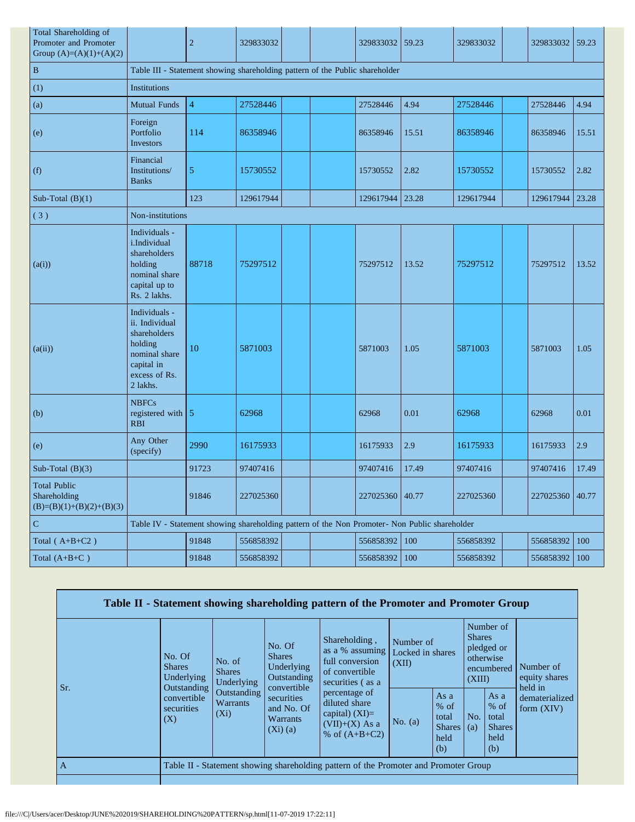| Total Shareholding of<br>Promoter and Promoter<br>Group $(A)=(A)(1)+(A)(2)$ |                                                                                                                        | $\mathbf{2}$                                                                 | 329833032 |  |  | 329833032       | 59.23 | 329833032 |  | 329833032       | 59.23 |  |  |
|-----------------------------------------------------------------------------|------------------------------------------------------------------------------------------------------------------------|------------------------------------------------------------------------------|-----------|--|--|-----------------|-------|-----------|--|-----------------|-------|--|--|
| $\, {\bf B}$                                                                |                                                                                                                        | Table III - Statement showing shareholding pattern of the Public shareholder |           |  |  |                 |       |           |  |                 |       |  |  |
| (1)                                                                         | Institutions                                                                                                           |                                                                              |           |  |  |                 |       |           |  |                 |       |  |  |
| (a)                                                                         | <b>Mutual Funds</b>                                                                                                    | $\overline{\mathcal{L}}$                                                     | 27528446  |  |  | 27528446        | 4.94  | 27528446  |  | 27528446        | 4.94  |  |  |
| (e)                                                                         | Foreign<br>Portfolio<br>Investors                                                                                      | 114                                                                          | 86358946  |  |  | 86358946        | 15.51 | 86358946  |  | 86358946        | 15.51 |  |  |
| (f)                                                                         | Financial<br>Institutions/<br><b>Banks</b>                                                                             | 5                                                                            | 15730552  |  |  | 15730552        | 2.82  | 15730552  |  | 15730552        | 2.82  |  |  |
| Sub-Total $(B)(1)$                                                          |                                                                                                                        | 123                                                                          | 129617944 |  |  | 129617944       | 23.28 | 129617944 |  | 129617944       | 23.28 |  |  |
| (3)                                                                         | Non-institutions                                                                                                       |                                                                              |           |  |  |                 |       |           |  |                 |       |  |  |
| (a(i))                                                                      | Individuals -<br>i.Individual<br>shareholders<br>holding<br>nominal share<br>capital up to<br>Rs. 2 lakhs.             | 88718                                                                        | 75297512  |  |  | 75297512        | 13.52 | 75297512  |  | 75297512        | 13.52 |  |  |
| (a(ii))                                                                     | Individuals -<br>ii. Individual<br>shareholders<br>holding<br>nominal share<br>capital in<br>excess of Rs.<br>2 lakhs. | 10                                                                           | 5871003   |  |  | 5871003         | 1.05  | 5871003   |  | 5871003         | 1.05  |  |  |
| (b)                                                                         | <b>NBFCs</b><br>registered with 5<br><b>RBI</b>                                                                        |                                                                              | 62968     |  |  | 62968           | 0.01  | 62968     |  | 62968           | 0.01  |  |  |
| (e)                                                                         | Any Other<br>(specify)                                                                                                 | 2990                                                                         | 16175933  |  |  | 16175933        | 2.9   | 16175933  |  | 16175933        | 2.9   |  |  |
| Sub-Total $(B)(3)$                                                          |                                                                                                                        | 91723                                                                        | 97407416  |  |  | 97407416        | 17.49 | 97407416  |  | 97407416        | 17.49 |  |  |
| <b>Total Public</b><br>Shareholding<br>$(B)=(B)(1)+(B)(2)+(B)(3)$           |                                                                                                                        | 91846                                                                        | 227025360 |  |  | 227025360 40.77 |       | 227025360 |  | 227025360 40.77 |       |  |  |
| ${\bf C}$                                                                   | Table IV - Statement showing shareholding pattern of the Non Promoter- Non Public shareholder                          |                                                                              |           |  |  |                 |       |           |  |                 |       |  |  |
| Total $(A+B+C2)$                                                            |                                                                                                                        | 91848                                                                        | 556858392 |  |  | 556858392       | 100   | 556858392 |  | 556858392       | 100   |  |  |
| Total $(A+B+C)$                                                             |                                                                                                                        | 91848                                                                        | 556858392 |  |  | 556858392 100   |       | 556858392 |  | 556858392       | 100   |  |  |

|                |                                                             |                                                                                                     |                                                                                           | Table II - Statement showing shareholding pattern of the Promoter and Promoter Group      |                                                         |            |                                                         |                                                    |                                       |
|----------------|-------------------------------------------------------------|-----------------------------------------------------------------------------------------------------|-------------------------------------------------------------------------------------------|-------------------------------------------------------------------------------------------|---------------------------------------------------------|------------|---------------------------------------------------------|----------------------------------------------------|---------------------------------------|
| Sr.            | No. Of<br><b>Shares</b><br><b>Underlying</b><br>Outstanding | No. of<br><b>Shares</b><br>Underlying                                                               | No. Of<br><b>Shares</b><br>Underlying<br>Outstanding<br>convertible                       | Shareholding,<br>as a % assuming<br>full conversion<br>of convertible<br>securities (as a | Number of<br>Locked in shares<br>(XII)                  |            | <b>Shares</b><br>(XIII)                                 | Number of<br>pledged or<br>otherwise<br>encumbered | Number of<br>equity shares<br>held in |
|                | convertible<br>securities<br>(X)                            | Outstanding<br>securities<br><b>Warrants</b><br>and No. Of<br>$(X_i)$<br><b>Warrants</b><br>(Xi)(a) | percentage of<br>diluted share<br>capital) $(XI)=$<br>$(VII)+(X)$ As a<br>% of $(A+B+C2)$ | No. $(a)$                                                                                 | As a<br>$%$ of<br>total<br><b>Shares</b><br>held<br>(b) | No.<br>(a) | As a<br>$%$ of<br>total<br><b>Shares</b><br>held<br>(b) | dematerialized<br>form $(XIV)$                     |                                       |
| $\overline{A}$ |                                                             |                                                                                                     |                                                                                           | Table II - Statement showing shareholding pattern of the Promoter and Promoter Group      |                                                         |            |                                                         |                                                    |                                       |
|                |                                                             |                                                                                                     |                                                                                           |                                                                                           |                                                         |            |                                                         |                                                    |                                       |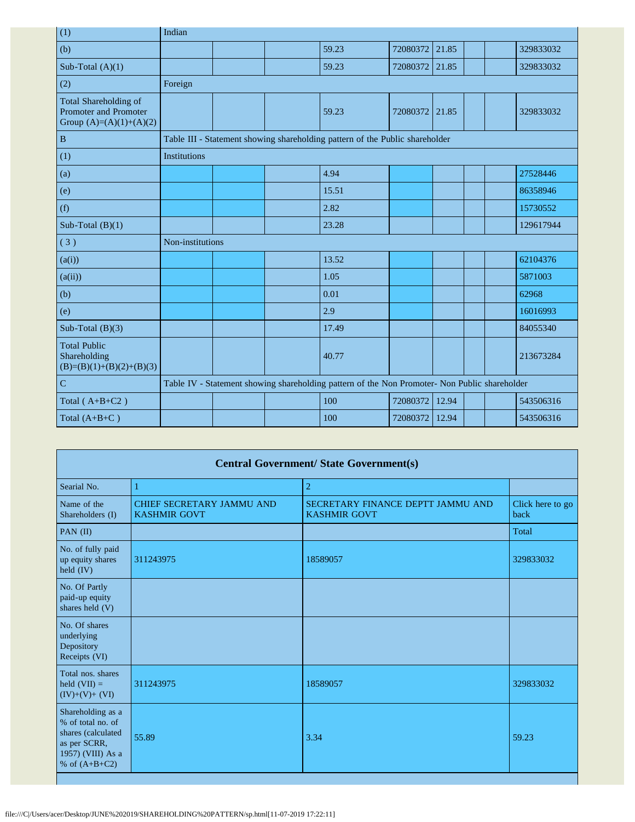| (1)                                                                         | Indian           |  |                                                                                               |          |       |  |           |
|-----------------------------------------------------------------------------|------------------|--|-----------------------------------------------------------------------------------------------|----------|-------|--|-----------|
| (b)                                                                         |                  |  | 59.23                                                                                         | 72080372 | 21.85 |  | 329833032 |
| Sub-Total $(A)(1)$                                                          |                  |  | 59.23                                                                                         | 72080372 | 21.85 |  | 329833032 |
| (2)                                                                         | Foreign          |  |                                                                                               |          |       |  |           |
| Total Shareholding of<br>Promoter and Promoter<br>Group $(A)=(A)(1)+(A)(2)$ |                  |  | 59.23                                                                                         | 72080372 | 21.85 |  | 329833032 |
| $\, {\bf B}$                                                                |                  |  | Table III - Statement showing shareholding pattern of the Public shareholder                  |          |       |  |           |
| (1)                                                                         | Institutions     |  |                                                                                               |          |       |  |           |
| (a)                                                                         |                  |  | 4.94                                                                                          |          |       |  | 27528446  |
| (e)                                                                         |                  |  | 15.51                                                                                         |          |       |  | 86358946  |
| (f)                                                                         |                  |  | 2.82                                                                                          |          |       |  | 15730552  |
| Sub-Total $(B)(1)$                                                          |                  |  | 23.28                                                                                         |          |       |  | 129617944 |
| (3)                                                                         | Non-institutions |  |                                                                                               |          |       |  |           |
| (a(i))                                                                      |                  |  | 13.52                                                                                         |          |       |  | 62104376  |
| (a(ii))                                                                     |                  |  | 1.05                                                                                          |          |       |  | 5871003   |
| (b)                                                                         |                  |  | 0.01                                                                                          |          |       |  | 62968     |
| (e)                                                                         |                  |  | 2.9                                                                                           |          |       |  | 16016993  |
| Sub-Total $(B)(3)$                                                          |                  |  | 17.49                                                                                         |          |       |  | 84055340  |
| <b>Total Public</b><br>Shareholding<br>$(B)=(B)(1)+(B)(2)+(B)(3)$           |                  |  | 40.77                                                                                         |          |       |  | 213673284 |
| $\mathbf C$                                                                 |                  |  | Table IV - Statement showing shareholding pattern of the Non Promoter- Non Public shareholder |          |       |  |           |
| Total $(A+B+C2)$                                                            |                  |  | 100                                                                                           | 72080372 | 12.94 |  | 543506316 |
| Total $(A+B+C)$                                                             |                  |  | 100                                                                                           | 72080372 | 12.94 |  | 543506316 |

| <b>Central Government/ State Government(s)</b>                                                                       |                                                         |                                                          |                          |  |  |  |  |  |  |  |
|----------------------------------------------------------------------------------------------------------------------|---------------------------------------------------------|----------------------------------------------------------|--------------------------|--|--|--|--|--|--|--|
| Searial No.                                                                                                          |                                                         | $\overline{c}$                                           |                          |  |  |  |  |  |  |  |
| Name of the<br>Shareholders (I)                                                                                      | <b>CHIEF SECRETARY JAMMU AND</b><br><b>KASHMIR GOVT</b> | SECRETARY FINANCE DEPTT JAMMU AND<br><b>KASHMIR GOVT</b> | Click here to go<br>back |  |  |  |  |  |  |  |
| PAN $(II)$                                                                                                           |                                                         |                                                          | Total                    |  |  |  |  |  |  |  |
| No. of fully paid<br>up equity shares<br>held $(IV)$                                                                 | 311243975                                               | 18589057                                                 | 329833032                |  |  |  |  |  |  |  |
| No. Of Partly<br>paid-up equity<br>shares held (V)                                                                   |                                                         |                                                          |                          |  |  |  |  |  |  |  |
| No. Of shares<br>underlying<br>Depository<br>Receipts (VI)                                                           |                                                         |                                                          |                          |  |  |  |  |  |  |  |
| Total nos, shares<br>held $(VII) =$<br>$(IV)+(V)+(VI)$                                                               | 311243975                                               | 18589057                                                 | 329833032                |  |  |  |  |  |  |  |
| Shareholding as a<br>% of total no. of<br>shares (calculated<br>as per SCRR,<br>1957) (VIII) As a<br>% of $(A+B+C2)$ | 55.89                                                   | 3.34                                                     | 59.23                    |  |  |  |  |  |  |  |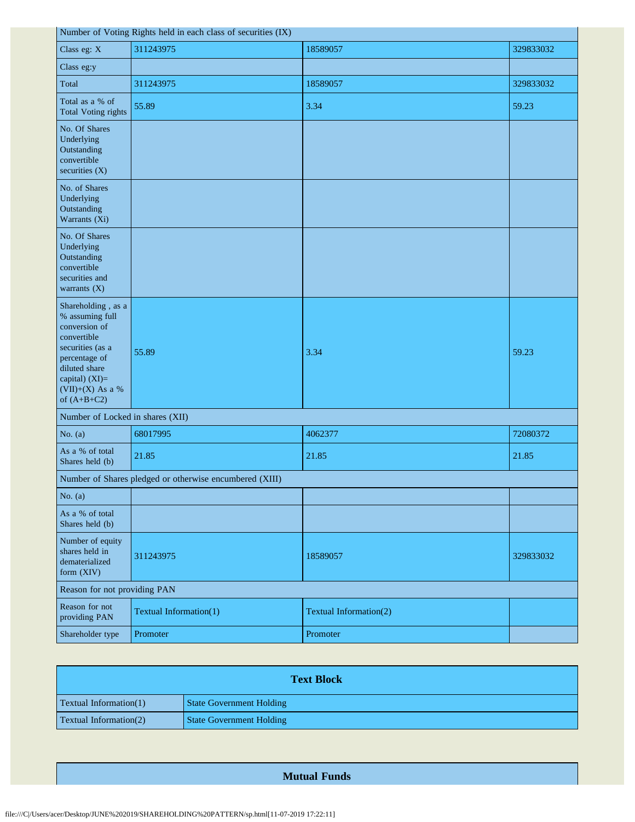| Number of Voting Rights held in each class of securities (IX) |
|---------------------------------------------------------------|
|---------------------------------------------------------------|

 $\mathbf{r}$ 

|                                                                                                                                                                                      | Number of voting Rights held in each class of securities $(IX)$ |                        |           |
|--------------------------------------------------------------------------------------------------------------------------------------------------------------------------------------|-----------------------------------------------------------------|------------------------|-----------|
| Class eg: X                                                                                                                                                                          | 311243975                                                       | 18589057               | 329833032 |
| Class eg:y                                                                                                                                                                           |                                                                 |                        |           |
| Total                                                                                                                                                                                | 311243975                                                       | 18589057               | 329833032 |
| Total as a % of<br><b>Total Voting rights</b>                                                                                                                                        | 55.89                                                           | 3.34                   | 59.23     |
| No. Of Shares<br>Underlying<br>Outstanding<br>convertible<br>securities $(X)$                                                                                                        |                                                                 |                        |           |
| No. of Shares<br>Underlying<br>Outstanding<br>Warrants (Xi)                                                                                                                          |                                                                 |                        |           |
| No. Of Shares<br>Underlying<br>Outstanding<br>convertible<br>securities and<br>warrants $(X)$                                                                                        |                                                                 |                        |           |
| Shareholding, as a<br>% assuming full<br>conversion of<br>convertible<br>securities (as a<br>percentage of<br>diluted share<br>capital) (XI)=<br>$(VII)+(X)$ As a %<br>of $(A+B+C2)$ | 55.89                                                           | 3.34                   | 59.23     |
| Number of Locked in shares (XII)                                                                                                                                                     |                                                                 |                        |           |
| No. $(a)$                                                                                                                                                                            | 68017995                                                        | 4062377                | 72080372  |
| As a % of total<br>Shares held (b)                                                                                                                                                   | 21.85                                                           | 21.85                  | 21.85     |
|                                                                                                                                                                                      | Number of Shares pledged or otherwise encumbered (XIII)         |                        |           |
| No. $(a)$                                                                                                                                                                            |                                                                 |                        |           |
| As a % of total<br>Shares held (b)                                                                                                                                                   |                                                                 |                        |           |
| Number of equity<br>shares held in<br>dematerialized<br>form (XIV)                                                                                                                   | 311243975                                                       | 18589057               | 329833032 |
| Reason for not providing PAN                                                                                                                                                         |                                                                 |                        |           |
| Reason for not<br>providing PAN                                                                                                                                                      | Textual Information(1)                                          | Textual Information(2) |           |
| Shareholder type                                                                                                                                                                     | Promoter                                                        | Promoter               |           |

| <b>Text Block</b>             |                                 |  |
|-------------------------------|---------------------------------|--|
| <b>Textual Information(1)</b> | <b>State Government Holding</b> |  |
| <b>Textual Information(2)</b> | <b>State Government Holding</b> |  |

## **Mutual Funds**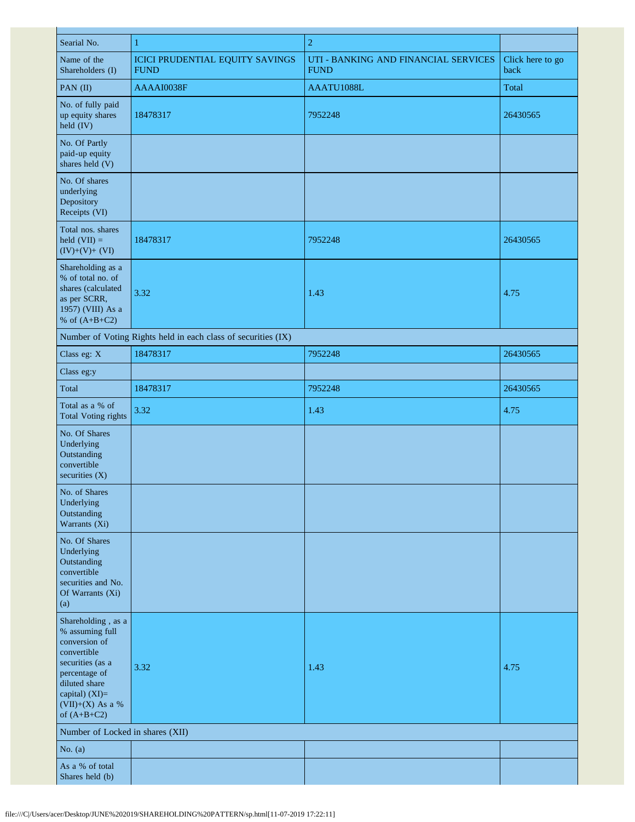| Searial No.                                                                                                                                                                          | $\mathbf{1}$                                                  | $\boldsymbol{2}$                                    |                          |
|--------------------------------------------------------------------------------------------------------------------------------------------------------------------------------------|---------------------------------------------------------------|-----------------------------------------------------|--------------------------|
| Name of the<br>Shareholders (I)                                                                                                                                                      | <b>ICICI PRUDENTIAL EQUITY SAVINGS</b><br><b>FUND</b>         | UTI - BANKING AND FINANCIAL SERVICES<br><b>FUND</b> | Click here to go<br>back |
| PAN (II)                                                                                                                                                                             | AAAAI0038F                                                    | AAATU1088L                                          | Total                    |
| No. of fully paid<br>up equity shares<br>held (IV)                                                                                                                                   | 18478317                                                      | 7952248                                             | 26430565                 |
| No. Of Partly<br>paid-up equity<br>shares held (V)                                                                                                                                   |                                                               |                                                     |                          |
| No. Of shares<br>underlying<br>Depository<br>Receipts (VI)                                                                                                                           |                                                               |                                                     |                          |
| Total nos. shares<br>held $(VII) =$<br>$(IV)+(V)+(VI)$                                                                                                                               | 18478317                                                      | 7952248                                             | 26430565                 |
| Shareholding as a<br>% of total no. of<br>shares (calculated<br>as per SCRR,<br>1957) (VIII) As a<br>% of $(A+B+C2)$                                                                 | 3.32                                                          | 1.43                                                | 4.75                     |
|                                                                                                                                                                                      | Number of Voting Rights held in each class of securities (IX) |                                                     |                          |
| Class eg: X                                                                                                                                                                          | 18478317                                                      | 7952248                                             | 26430565                 |
| Class eg:y                                                                                                                                                                           |                                                               |                                                     |                          |
| Total                                                                                                                                                                                | 18478317                                                      | 7952248                                             | 26430565                 |
| Total as a % of<br><b>Total Voting rights</b>                                                                                                                                        | 3.32                                                          | 1.43                                                | 4.75                     |
| No. Of Shares<br>Underlying<br>Outstanding<br>convertible<br>securities (X)                                                                                                          |                                                               |                                                     |                          |
| No. of Shares<br>Underlying<br>Outstanding<br>Warrants (Xi)                                                                                                                          |                                                               |                                                     |                          |
| No. Of Shares<br>Underlying<br>Outstanding<br>convertible<br>securities and No.<br>Of Warrants (Xi)<br>(a)                                                                           |                                                               |                                                     |                          |
| Shareholding, as a<br>% assuming full<br>conversion of<br>convertible<br>securities (as a<br>percentage of<br>diluted share<br>capital) $(XI)=$<br>(VII)+(X) As a %<br>of $(A+B+C2)$ | 3.32                                                          | 1.43                                                | 4.75                     |
| Number of Locked in shares (XII)                                                                                                                                                     |                                                               |                                                     |                          |
| No. $(a)$                                                                                                                                                                            |                                                               |                                                     |                          |
| As a % of total<br>Shares held (b)                                                                                                                                                   |                                                               |                                                     |                          |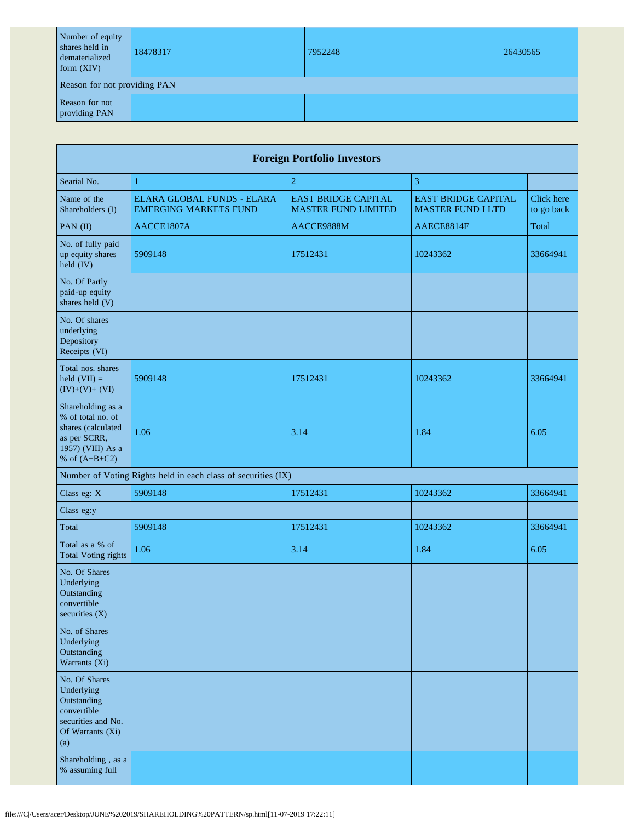| Number of equity<br>shares held in<br>dematerialized<br>form $(XIV)$ | 18478317 | 7952248 | 26430565 |
|----------------------------------------------------------------------|----------|---------|----------|
| Reason for not providing PAN                                         |          |         |          |
| Reason for not<br>providing PAN                                      |          |         |          |

|                                                                                                                      | <b>Foreign Portfolio Investors</b>                            |                                                          |                                                        |                          |  |
|----------------------------------------------------------------------------------------------------------------------|---------------------------------------------------------------|----------------------------------------------------------|--------------------------------------------------------|--------------------------|--|
| Searial No.                                                                                                          | $\mathbf{1}$                                                  | $\overline{2}$                                           | 3                                                      |                          |  |
| Name of the<br>Shareholders (I)                                                                                      | ELARA GLOBAL FUNDS - ELARA<br><b>EMERGING MARKETS FUND</b>    | <b>EAST BRIDGE CAPITAL</b><br><b>MASTER FUND LIMITED</b> | <b>EAST BRIDGE CAPITAL</b><br><b>MASTER FUND I LTD</b> | Click here<br>to go back |  |
| PAN (II)                                                                                                             | AACCE1807A                                                    | AACCE9888M                                               | AAECE8814F                                             | Total                    |  |
| No. of fully paid<br>up equity shares<br>held (IV)                                                                   | 5909148                                                       | 17512431                                                 | 10243362                                               | 33664941                 |  |
| No. Of Partly<br>paid-up equity<br>shares held (V)                                                                   |                                                               |                                                          |                                                        |                          |  |
| No. Of shares<br>underlying<br>Depository<br>Receipts (VI)                                                           |                                                               |                                                          |                                                        |                          |  |
| Total nos. shares<br>held $(VII) =$<br>$(IV)+(V)+(VI)$                                                               | 5909148                                                       | 17512431                                                 | 10243362                                               | 33664941                 |  |
| Shareholding as a<br>% of total no. of<br>shares (calculated<br>as per SCRR,<br>1957) (VIII) As a<br>% of $(A+B+C2)$ | 1.06                                                          | 3.14                                                     | 1.84                                                   | 6.05                     |  |
|                                                                                                                      | Number of Voting Rights held in each class of securities (IX) |                                                          |                                                        |                          |  |
| Class eg: X                                                                                                          | 5909148                                                       | 17512431                                                 | 10243362                                               | 33664941                 |  |
| Class eg:y                                                                                                           |                                                               |                                                          |                                                        |                          |  |
| Total                                                                                                                | 5909148                                                       | 17512431                                                 | 10243362                                               | 33664941                 |  |
| Total as a % of<br><b>Total Voting rights</b>                                                                        | 1.06                                                          | 3.14                                                     | 1.84                                                   | 6.05                     |  |
| No. Of Shares<br>Underlying<br>Outstanding<br>convertible<br>securities (X)                                          |                                                               |                                                          |                                                        |                          |  |
| No. of Shares<br>Underlying<br>Outstanding<br>Warrants (Xi)                                                          |                                                               |                                                          |                                                        |                          |  |
| No. Of Shares<br>Underlying<br>Outstanding<br>convertible<br>securities and No.<br>Of Warrants (Xi)<br>(a)           |                                                               |                                                          |                                                        |                          |  |
| Shareholding, as a<br>% assuming full                                                                                |                                                               |                                                          |                                                        |                          |  |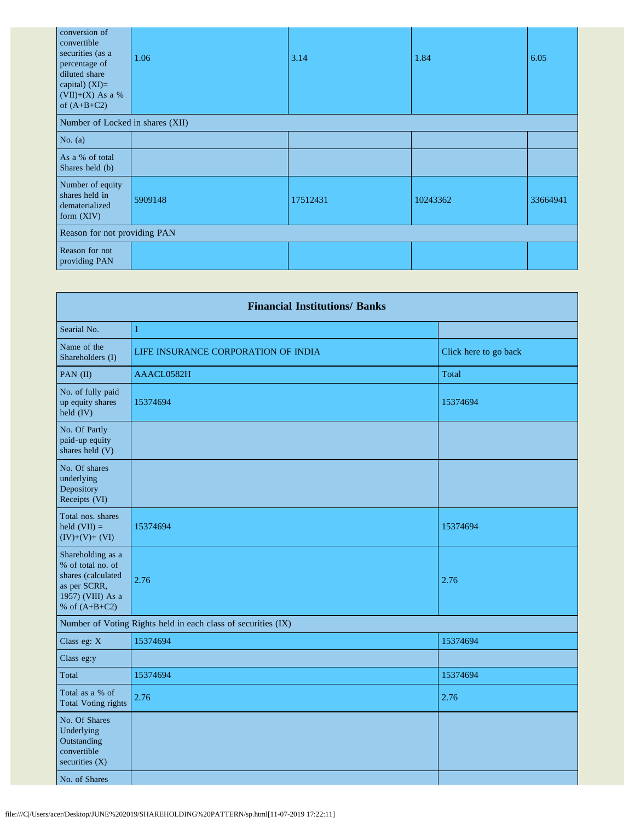| conversion of<br>convertible<br>securities (as a<br>percentage of<br>diluted share<br>capital) $(XI)=$<br>(VII)+(X) As a %<br>of $(A+B+C2)$ | 1.06    | 3.14     | 1.84     | 6.05     |
|---------------------------------------------------------------------------------------------------------------------------------------------|---------|----------|----------|----------|
| Number of Locked in shares (XII)                                                                                                            |         |          |          |          |
| No. $(a)$                                                                                                                                   |         |          |          |          |
| As a % of total<br>Shares held (b)                                                                                                          |         |          |          |          |
| Number of equity<br>shares held in<br>dematerialized<br>form (XIV)                                                                          | 5909148 | 17512431 | 10243362 | 33664941 |
| Reason for not providing PAN                                                                                                                |         |          |          |          |
| Reason for not<br>providing PAN                                                                                                             |         |          |          |          |

| <b>Financial Institutions/ Banks</b>                                                                                 |                                                               |                       |  |  |
|----------------------------------------------------------------------------------------------------------------------|---------------------------------------------------------------|-----------------------|--|--|
| Searial No.                                                                                                          | $\mathbf{1}$                                                  |                       |  |  |
| Name of the<br>Shareholders (I)                                                                                      | LIFE INSURANCE CORPORATION OF INDIA                           | Click here to go back |  |  |
| PAN (II)                                                                                                             | AAACL0582H                                                    | Total                 |  |  |
| No. of fully paid<br>up equity shares<br>held (IV)                                                                   | 15374694                                                      | 15374694              |  |  |
| No. Of Partly<br>paid-up equity<br>shares held (V)                                                                   |                                                               |                       |  |  |
| No. Of shares<br>underlying<br>Depository<br>Receipts (VI)                                                           |                                                               |                       |  |  |
| Total nos. shares<br>held $(VII) =$<br>$(IV)+(V)+(VI)$                                                               | 15374694                                                      | 15374694              |  |  |
| Shareholding as a<br>% of total no. of<br>shares (calculated<br>as per SCRR,<br>1957) (VIII) As a<br>% of $(A+B+C2)$ | 2.76                                                          | 2.76                  |  |  |
|                                                                                                                      | Number of Voting Rights held in each class of securities (IX) |                       |  |  |
| Class eg: X                                                                                                          | 15374694                                                      | 15374694              |  |  |
| Class eg:y                                                                                                           |                                                               |                       |  |  |
| Total                                                                                                                | 15374694                                                      | 15374694              |  |  |
| Total as a % of<br><b>Total Voting rights</b>                                                                        | 2.76                                                          | 2.76                  |  |  |
| No. Of Shares<br>Underlying<br>Outstanding<br>convertible<br>securities $(X)$                                        |                                                               |                       |  |  |
| No. of Shares                                                                                                        |                                                               |                       |  |  |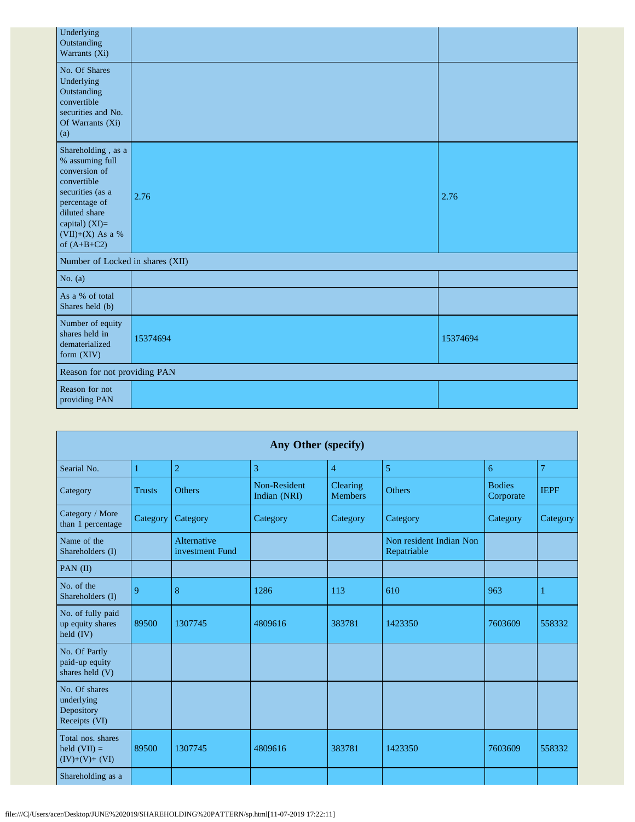| Underlying<br>Outstanding<br>Warrants (Xi)                                                                                                                                             |          |          |
|----------------------------------------------------------------------------------------------------------------------------------------------------------------------------------------|----------|----------|
| No. Of Shares<br>Underlying<br>Outstanding<br>convertible<br>securities and No.<br>Of Warrants (Xi)<br>(a)                                                                             |          |          |
| Shareholding, as a<br>% assuming full<br>conversion of<br>convertible<br>securities (as a<br>percentage of<br>diluted share<br>capital) $(XI)=$<br>$(VII)+(X)$ As a %<br>of $(A+B+C2)$ | 2.76     | 2.76     |
| Number of Locked in shares (XII)                                                                                                                                                       |          |          |
| No. $(a)$                                                                                                                                                                              |          |          |
| As a % of total<br>Shares held (b)                                                                                                                                                     |          |          |
| Number of equity<br>shares held in<br>dematerialized<br>form $(XIV)$                                                                                                                   | 15374694 | 15374694 |
| Reason for not providing PAN                                                                                                                                                           |          |          |
| Reason for not<br>providing PAN                                                                                                                                                        |          |          |

| Any Other (specify)                                        |               |                                |                              |                            |                                        |                            |                |
|------------------------------------------------------------|---------------|--------------------------------|------------------------------|----------------------------|----------------------------------------|----------------------------|----------------|
| Searial No.                                                | 1             | $\overline{2}$                 | 3                            | $\overline{4}$             | 5                                      | 6                          | $\overline{7}$ |
| Category                                                   | <b>Trusts</b> | <b>Others</b>                  | Non-Resident<br>Indian (NRI) | Clearing<br><b>Members</b> | <b>Others</b>                          | <b>Bodies</b><br>Corporate | <b>IEPF</b>    |
| Category / More<br>than 1 percentage                       | Category      | Category                       | Category                     | Category                   | Category                               | Category                   | Category       |
| Name of the<br>Shareholders (I)                            |               | Alternative<br>investment Fund |                              |                            | Non resident Indian Non<br>Repatriable |                            |                |
| PAN $(II)$                                                 |               |                                |                              |                            |                                        |                            |                |
| No. of the<br>Shareholders (I)                             | 9             | 8                              | 1286                         | 113                        | 610                                    | 963                        | $\mathbf{1}$   |
| No. of fully paid<br>up equity shares<br>held $(IV)$       | 89500         | 1307745                        | 4809616                      | 383781                     | 1423350                                | 7603609                    | 558332         |
| No. Of Partly<br>paid-up equity<br>shares held (V)         |               |                                |                              |                            |                                        |                            |                |
| No. Of shares<br>underlying<br>Depository<br>Receipts (VI) |               |                                |                              |                            |                                        |                            |                |
| Total nos. shares<br>held $(VII) =$<br>$(IV)+(V)+(VI)$     | 89500         | 1307745                        | 4809616                      | 383781                     | 1423350                                | 7603609                    | 558332         |
| Shareholding as a                                          |               |                                |                              |                            |                                        |                            |                |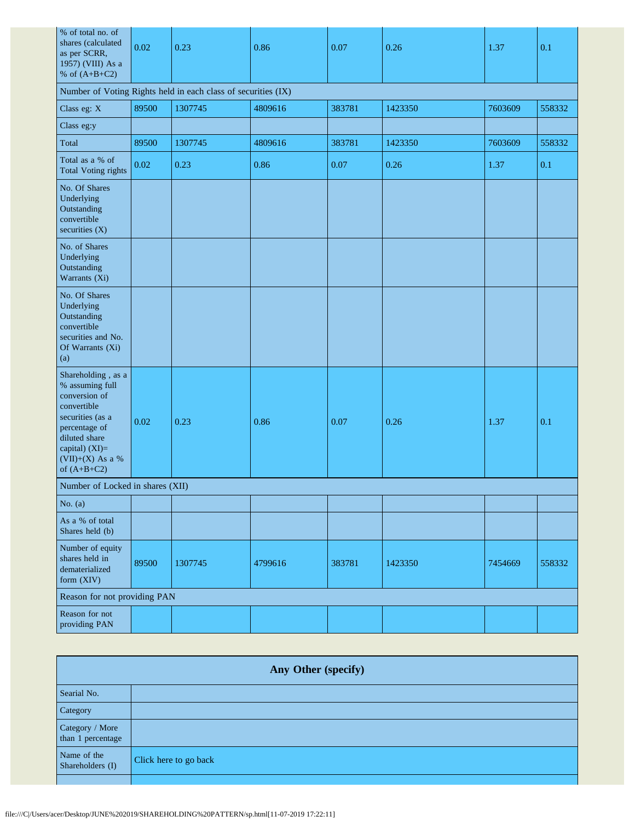| % of total no. of<br>shares (calculated<br>as per SCRR,<br>1957) (VIII) As a<br>% of $(A+B+C2)$                                                                                      | 0.02  | 0.23                                                          | 0.86    | 0.07   | 0.26    | 1.37    | 0.1    |
|--------------------------------------------------------------------------------------------------------------------------------------------------------------------------------------|-------|---------------------------------------------------------------|---------|--------|---------|---------|--------|
|                                                                                                                                                                                      |       | Number of Voting Rights held in each class of securities (IX) |         |        |         |         |        |
| Class eg: X                                                                                                                                                                          | 89500 | 1307745                                                       | 4809616 | 383781 | 1423350 | 7603609 | 558332 |
| Class eg:y                                                                                                                                                                           |       |                                                               |         |        |         |         |        |
| Total                                                                                                                                                                                | 89500 | 1307745                                                       | 4809616 | 383781 | 1423350 | 7603609 | 558332 |
| Total as a % of<br><b>Total Voting rights</b>                                                                                                                                        | 0.02  | 0.23                                                          | 0.86    | 0.07   | 0.26    | 1.37    | 0.1    |
| No. Of Shares<br>Underlying<br>Outstanding<br>convertible<br>securities (X)                                                                                                          |       |                                                               |         |        |         |         |        |
| No. of Shares<br>Underlying<br>Outstanding<br>Warrants (Xi)                                                                                                                          |       |                                                               |         |        |         |         |        |
| No. Of Shares<br>Underlying<br>Outstanding<br>convertible<br>securities and No.<br>Of Warrants (Xi)<br>(a)                                                                           |       |                                                               |         |        |         |         |        |
| Shareholding, as a<br>% assuming full<br>conversion of<br>convertible<br>securities (as a<br>percentage of<br>diluted share<br>capital) (XI)=<br>$(VII)+(X)$ As a %<br>of $(A+B+C2)$ | 0.02  | 0.23                                                          | 0.86    | 0.07   | 0.26    | 1.37    | 0.1    |
| Number of Locked in shares (XII)                                                                                                                                                     |       |                                                               |         |        |         |         |        |
| No. $(a)$                                                                                                                                                                            |       |                                                               |         |        |         |         |        |
| As a % of total<br>Shares held (b)                                                                                                                                                   |       |                                                               |         |        |         |         |        |
| Number of equity<br>shares held in<br>dematerialized<br>form (XIV)                                                                                                                   | 89500 | 1307745                                                       | 4799616 | 383781 | 1423350 | 7454669 | 558332 |
| Reason for not providing PAN                                                                                                                                                         |       |                                                               |         |        |         |         |        |
| Reason for not<br>providing PAN                                                                                                                                                      |       |                                                               |         |        |         |         |        |

| Any Other (specify)                  |                       |  |
|--------------------------------------|-----------------------|--|
| Searial No.                          |                       |  |
| Category                             |                       |  |
| Category / More<br>than 1 percentage |                       |  |
| Name of the<br>Shareholders (I)      | Click here to go back |  |
|                                      |                       |  |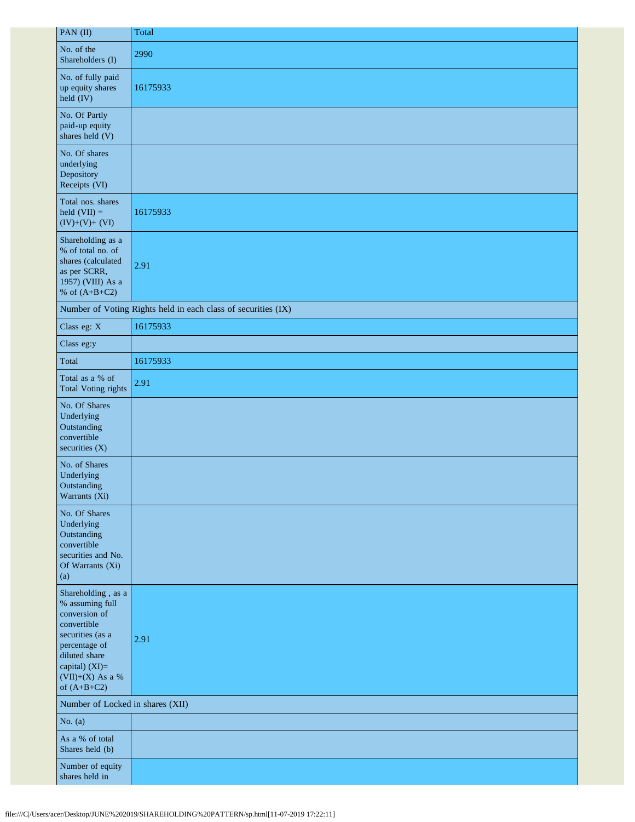| PAN (II)                                                                                                                                                                           | Total                                                         |
|------------------------------------------------------------------------------------------------------------------------------------------------------------------------------------|---------------------------------------------------------------|
| No. of the<br>Shareholders (I)                                                                                                                                                     | 2990                                                          |
| No. of fully paid<br>up equity shares<br>$\text{held (IV)}$                                                                                                                        | 16175933                                                      |
| No. Of Partly<br>paid-up equity<br>shares held (V)                                                                                                                                 |                                                               |
| No. Of shares<br>underlying<br>Depository<br>Receipts (VI)                                                                                                                         |                                                               |
| Total nos. shares<br>held $(VII) =$<br>$(IV)+(V)+(VI)$                                                                                                                             | 16175933                                                      |
| Shareholding as a<br>% of total no. of<br>shares (calculated<br>as per SCRR,<br>1957) (VIII) As a<br>% of $(A+B+C2)$                                                               | 2.91                                                          |
|                                                                                                                                                                                    | Number of Voting Rights held in each class of securities (IX) |
| Class eg: X                                                                                                                                                                        | 16175933                                                      |
| Class eg:y                                                                                                                                                                         |                                                               |
| Total                                                                                                                                                                              | 16175933                                                      |
| Total as a % of<br><b>Total Voting rights</b>                                                                                                                                      | 2.91                                                          |
| No. Of Shares<br>Underlying<br>Outstanding<br>convertible<br>securities $(X)$                                                                                                      |                                                               |
| No. of Shares<br>Underlying<br>Outstanding<br>Warrants $(X_i)$                                                                                                                     |                                                               |
| No. Of Shares<br>Underlying<br>Outstanding<br>convertible<br>securities and No.<br>Of Warrants (Xi)<br>(a)                                                                         |                                                               |
| Shareholding, as a<br>% assuming full<br>conversion of<br>convertible<br>securities (as a<br>percentage of<br>diluted share<br>capital) (XI)=<br>(VII)+(X) As a %<br>of $(A+B+C2)$ | 2.91                                                          |
| Number of Locked in shares (XII)                                                                                                                                                   |                                                               |
| No. $(a)$                                                                                                                                                                          |                                                               |
| As a % of total<br>Shares held (b)                                                                                                                                                 |                                                               |
| Number of equity<br>shares held in                                                                                                                                                 |                                                               |